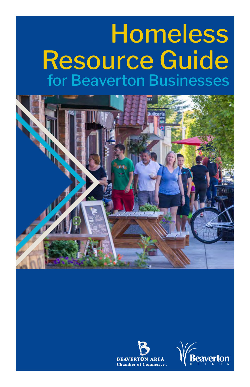# Homeless Resource Guide for Beaverton Businesses





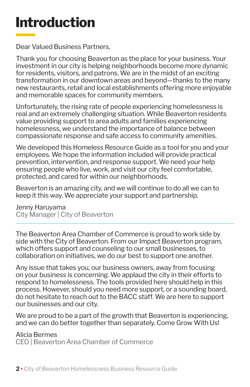

Dear Valued Business Partners,

Thank you for choosing Beaverton as the place for your business. Your investment in our city is helping neighborhoods become more dynamic for residents, visitors, and patrons. We are in the midst of an exciting transformation in our downtown areas and beyond—thanks to the many new restaurants, retail and local establishments offering more enjoyable and memorable spaces for community members.

Unfortunately, the rising rate of people experiencing homelessness is real and an extremely challenging situation. While Beaverton residents value providing support to area adults and families experiencing homelessness, we understand the importance of balance between compassionate response and safe access to community amenities.

We developed this Homeless Resource Guide as a tool for you and your employees. We hope the information included will provide practical prevention, intervention, and response support. We need your help ensuring people who live, work, and visit our city feel comfortable, protected, and cared for within our neighborhoods.

Beaverton is an amazing city, and we will continue to do all we can to keep it this way. We appreciate your support and partnership.

Jenny Haruyama City Manager | City of Beaverton

The Beaverton Area Chamber of Commerce is proud to work side by side with the City of Beaverton. From our Impact Beaverton program, which offers support and counseling to our small businesses, to collaboration on initiatives, we do our best to support one another.

Any issue that takes you, our business owners, away from focusing on your business is concerning. We applaud the city in their efforts to respond to homelessness. The tools provided here should help in this process. However, should you need more support, or a sounding board, do not hesitate to reach out to the BACC staff. We are here to support our businesses and our city.

We are proud to be a part of the growth that Beaverton is experiencing, and we can do better together than separately. Come Grow With Us!

Alicia Bermes

CEO | Beaverton Area Chamber of Commerce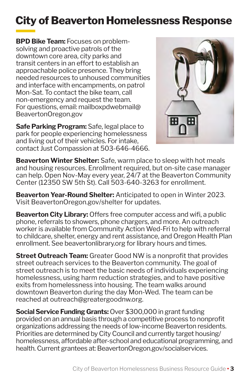### City of Beaverton Homelessness Response

**BPD Bike Team:** Focuses on problemsolving and proactive patrols of the downtown core area, city parks and transit centers in an effort to establish an approachable police presence. They bring needed resources to unhoused communities and interface with encampments, on patrol Mon-Sat. To contact the bike team, call non-emergency and request the team. For questions, email: mailboxpdwebmail@ BeavertonOregon.gov

**Safe Parking Program:** Safe, legal place to park for people experiencing homelessness and living out of their vehicles. For intake, contact Just Compassion at 503-646-4666.



**Beaverton Winter Shelter:** Safe, warm place to sleep with hot meals and housing resources. Enrollment required, but on-site case manager can help. Open Nov-May every year, 24/7 at the Beaverton Community Center (12350 SW 5th St). Call 503-640-3263 for enrollment.

**Beaverton Year-Round Shelter:** Anticipated to open in Winter 2023. Visit BeavertonOregon.gov/shelter for updates.

**Beaverton City Library:** Offers free computer access and wifi, a public phone, referrals to showers, phone chargers, and more. An outreach worker is available from Community Action Wed-Fri to help with referral to childcare, shelter, energy and rent assistance, and Oregon Health Plan enrollment. See beavertonlibrary.org for library hours and times.

**Street Outreach Team:** Greater Good NW is a nonprofit that provides street outreach services to the Beaverton community. The goal of street outreach is to meet the basic needs of individuals experiencing homelessness, using harm reduction strategies, and to have positive exits from homelessness into housing. The team walks around downtown Beaverton during the day Mon-Wed. The team can be reached at outreach@greatergoodnw.org.

**Social Service Funding Grants:** Over \$300,000 in grant funding provided on an annual basis through a competitive process to nonprofit organizations addressing the needs of low-income Beaverton residents. Priorities are determined by City Council and currently target housing/ homelessness, affordable after-school and educational programming, and health. Current grantees at: BeavertonOregon.gov/socialservices.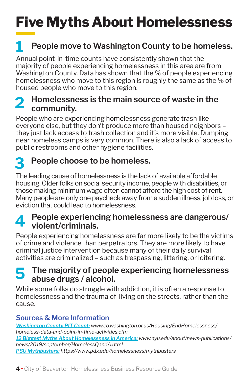# Five Myths About Homelessness

### **1** People move to Washington County to be homeless.

Annual point-in-time counts have consistently shown that the majority of people experiencing homelessness in this area are from Washington County. Data has shown that the % of people experiencing homelessness who move to this region is roughly the same as the % of housed people who move to this region.

#### Homelessness is the main source of waste in the community. 2

People who are experiencing homelessness generate trash like everyone else, but they don't produce more than housed neighbors – they just lack access to trash collection and it's more visible. Dumping near homeless camps is very common. There is also a lack of access to public restrooms and other hygiene facilities.

#### People choose to be homeless. 3

The leading cause of homelessness is the lack of available affordable housing. Older folks on social security income, people with disabilities, or those making minimum wage often cannot afford the high cost of rent. Many people are only one paycheck away from a sudden illness, job loss, or eviction that could lead to homelessness.

#### People experiencing homelessness are dangerous/ violent/criminals. 4

People experiencing homelessness are far more likely to be the victims of crime and violence than perpetrators. They are more likely to have criminal justice intervention because many of their daily survival activities are criminalized – such as trespassing, littering, or loitering.

#### The majority of people experiencing homelessness abuse drugs / alcohol. 5

While some folks do struggle with addiction, it is often a response to homelessness and the trauma of living on the streets, rather than the cause.

### Sources & More Information

*Washington County PIT Count: www.co.washington.or.us/Housing/EndHomelessness/ homeless-data-and-point-in-time-activities.cfm 12 Biggest Myths About Homelessness in America: www.nyu.edu/about/news-publications/ news/2019/september/HomelessQandA.html PSU Mythbusters: https://www.pdx.edu/homelessness/mythbusters*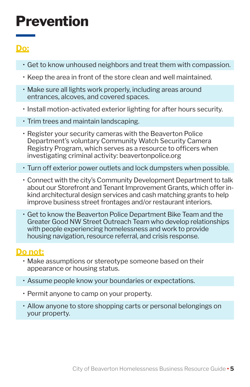## Prevention

#### Do:

- Get to know unhoused neighbors and treat them with compassion.
- Keep the area in front of the store clean and well maintained.
- Make sure all lights work properly, including areas around entrances, alcoves, and covered spaces.
- Install motion-activated exterior lighting for after hours security.
- Trim trees and maintain landscaping.
- Register your security cameras with the Beaverton Police Department's voluntary Community Watch Security Camera Registry Program, which serves as a resource to officers when investigating criminal activity: beavertonpolice.org
- Turn off exterior power outlets and lock dumpsters when possible.
- Connect with the city's Community Development Department to talk about our Storefront and Tenant Improvement Grants, which offer inkind architectural design services and cash matching grants to help improve business street frontages and/or restaurant interiors.
- Get to know the Beaverton Police Department Bike Team and the Greater Good NW Street Outreach Team who develop relationships with people experiencing homelessness and work to provide housing navigation, resource referral, and crisis response.

### Do not:

- Make assumptions or stereotype someone based on their appearance or housing status.
- Assume people know your boundaries or expectations.
- Permit anyone to camp on your property.
- Allow anyone to store shopping carts or personal belongings on your property.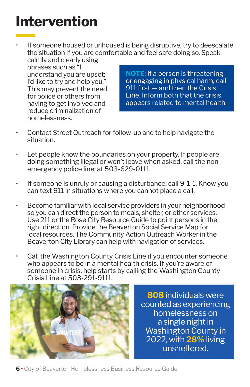## Intervention

- If someone housed or unhoused is being disruptive, try to deescalate the situation if you are comfortable and feel safe doing so. Speak calmly and clearly using phrases such as "I understand you are upset; I'd like to try and help you." This may prevent the need for police or others from having to get involved and reduce criminalization of homelessness. NOTE: if a person is threatening or engaging in physical harm, call 911 first — and then the Crisis Line. Inform both that the crisis appears related to mental health.
- Contact Street Outreach for follow-up and to help navigate the situation.
- Let people know the boundaries on your property. If people are doing something illegal or won't leave when asked, call the nonemergency police line: at 503-629-0111.
- If someone is unruly or causing a disturbance, call 9-1-1. Know you can text 911 in situations where you cannot place a call.
- Become familiar with local service providers in your neighborhood so you can direct the person to meals, shelter, or other services. Use 211 or the Rose City Resource Guide to point persons in the right direction. Provide the Beaverton Social Service Map for local resources. The Community Action Outreach Worker in the Beaverton City Library can help with navigation of services.
- Call the Washington County Crisis Line if you encounter someone who appears to be in a mental health crisis. If you're aware of someone in crisis, help starts by calling the Washington County Crisis Line at 503-291-9111.



**808** individuals were counted as experiencing homelessness on a single night in Washington County in 2022, with **28%** living unsheltered.

6 • City of Beaverton Homelessness Business Resource Guide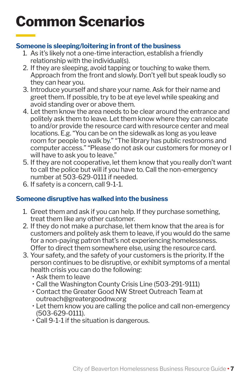# Common Scenarios

#### Someone is sleeping/loitering in front of the business

- 1. As it's likely not a one-time interaction, establish a friendly relationship with the individual(s).
- 2. If they are sleeping, avoid tapping or touching to wake them. Approach from the front and slowly. Don't yell but speak loudly so they can hear you.
- 3. Introduce yourself and share your name. Ask for their name and greet them. If possible, try to be at eye level while speaking and avoid standing over or above them.
- 4. Let them know the area needs to be clear around the entrance and politely ask them to leave. Let them know where they can relocate to and/or provide the resource card with resource center and meal locations. E.g. "You can be on the sidewalk as long as you leave room for people to walk by." "The library has public restrooms and computer access." "Please do not ask our customers for money or I will have to ask you to leave."
- 5. If they are not cooperative, let them know that you really don't want to call the police but will if you have to. Call the non-emergency number at 503-629-0111 if needed.
- 6. If safety is a concern, call 9-1-1.

#### Someone disruptive has walked into the business

- 1. Greet them and ask if you can help. If they purchase something, treat them like any other customer.
- 2. If they do not make a purchase, let them know that the area is for customers and politely ask them to leave, if you would do the same for a non-paying patron that's not experiencing homelessness. Offer to direct them somewhere else, using the resource card.
- 3. Your safety, and the safety of your customers is the priority. If the person continues to be disruptive, or exhibit symptoms of a mental health crisis you can do the following:
	- Ask them to leave
	- Call the Washington County Crisis Line (503-291-9111)
	- Contact the Greater Good NW Street Outreach Team at outreach@greatergoodnw.org
	- Let them know you are calling the police and call non-emergency (503-629-0111).
	- Call 9-1-1 if the situation is dangerous.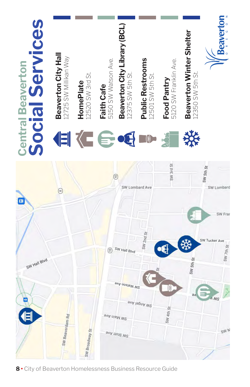| <b>Social Services</b><br><b>Central Beaverton</b>         | Beaverton City Hall<br>12725 SW Millikan Way<br>$ \Xi $ | HomePlate<br>12520 SW 3rd St.<br>₹⟨ $\overline{\phantom{a}}$ | 5150 SW Watson Ave.<br><b>Faith Cafe</b><br>6 | Beaverton City Library (BCL)<br>12375 SW 5th St.<br>3 | <b>Public Restrooms</b><br>12501 SW 5th St.<br>$\left( 0\right)$ | 5120 SW Franklin Ave.<br>Food Pantry | <b>Beaverton Winter Shelter</b><br>12350 SW 5th St.<br>搩 | <b>Beaverton</b>                           |
|------------------------------------------------------------|---------------------------------------------------------|--------------------------------------------------------------|-----------------------------------------------|-------------------------------------------------------|------------------------------------------------------------------|--------------------------------------|----------------------------------------------------------|--------------------------------------------|
| $\mathbf{B}$                                               | $\circledcirc$                                          |                                                              | $\circledcirc$                                | SW Lombard Ave                                        |                                                                  | SW 3rd St                            |                                                          | SW 5th St<br>SW Lombard<br>SW Frar         |
| SW Hall Blvd<br><b>REE</b><br>El                           |                                                         |                                                              | $\circledR$<br>9VA niaM W2                    | SW Hall Blvd<br>SVA nostsW WS                         | SW 2nd St<br>ö<br>SW Angel Ave                                   | Ę<br>$\left( 0\right)$<br>SW 4th St  | SW 5th St<br>$\partial A$                                | <b>SW Tucker Ave</b><br>SW 7th St<br>vi MS |
| 8 · City of Beaverton Homelessness Business Resource Guide | SW Beaverdam Rd                                         | SW Broadway St                                               | <b>SVA STOTE AVE</b>                          |                                                       |                                                                  |                                      |                                                          | SW <sub>N</sub>                            |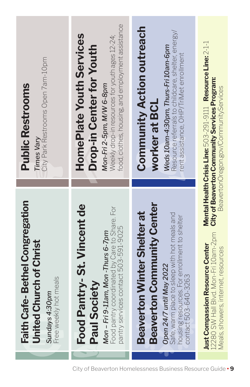| City Park Restrooms Open 7am-10pm<br><b>Public Restrooms</b><br><b>Times Vary</b>                               | food, clothes, housing, and employment assistance<br><b>HomePlate Youth Services</b><br>Weekly drop-in resources for youth ages 12-24;<br><b>Drop-in Center for Youth</b><br>Mon-Fri 2-5pm, M/W 6-8pm | <b>Community Action outreach</b><br>Resource referrals to childcare, shelter, energy/<br>Weds 10am-4:30pm, Thurs-Fri10am-6pm<br>rent assistance, OHP/TriMet enrollment<br><b>Worker at BCL</b>                                         | Mental Health Crisis Line: 503-291-9111 Resource Line: 2-1-1<br>City of Beaverton Community Services Program:<br>Beaverton Oregon, gov/Community Services |
|-----------------------------------------------------------------------------------------------------------------|-------------------------------------------------------------------------------------------------------------------------------------------------------------------------------------------------------|----------------------------------------------------------------------------------------------------------------------------------------------------------------------------------------------------------------------------------------|-----------------------------------------------------------------------------------------------------------------------------------------------------------|
| Faith Cafe-Bethel Congregation<br><b>United Church of Christ</b><br>t meals<br>Sundays 4:30pm<br>Free weekly ho | Food Pantry-St. Vincent de<br>Food pantry coordinated by Care to Share. For<br>pantry services contact 503-591-9025<br>Mon - Fri 9-11am, Mon -Thurs 6-7pm<br>iety<br>Paul Soci                        | <b>Beaverton Community Center</b><br><b>Beaverton Winter Shelter at</b><br>Safe, warm place to sleep with hot meals and<br>housing resources. For enrollment to shelter<br><b>I May 2022</b><br>contact 503-640-3263<br>Open 24/7 unti | 12280 SW Hall Blvd. Mon-Fri 10am-2pm<br>Resource Center<br>Meals, showers, internet, resources<br><b>Just Compassion</b>                                  |
|                                                                                                                 |                                                                                                                                                                                                       | City of Beaverton Homelessness Business Resource Guide . 9                                                                                                                                                                             |                                                                                                                                                           |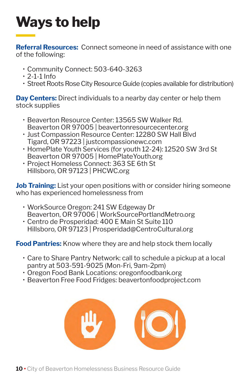### Ways to help

**Referral Resources:** Connect someone in need of assistance with one of the following:

- Community Connect: 503-640-3263
- $\cdot$  2-1-1 Info
- Street Roots Rose City Resource Guide (copies available for distribution)

**Day Centers:** Direct individuals to a nearby day center or help them stock supplies

- Beaverton Resource Center: 13565 SW Walker Rd. Beaverton OR 97005 | beavertonresourcecenter.org
- Just Compassion Resource Center: 12280 SW Hall Blvd Tigard, OR 97223 | justcompassionewc.com
- HomePlate Youth Services (for youth 12-24): 12520 SW 3rd St Beaverton OR 97005 | HomePlateYouth.org
- Project Homeless Connect: 363 SE 6th St Hillsboro, OR 97123 | PHCWC.org

Job Training: List your open positions with or consider hiring someone who has experienced homelessness from

- WorkSource Oregon: 241 SW Edgeway Dr Beaverton, OR 97006 | WorkSourcePortlandMetro.org
- Centro de Prosperidad: 400 E Main St Suite 110 Hillsboro, OR 97123 | Prosperidad@CentroCultural.org

**Food Pantries:** Know where they are and help stock them locally

- Care to Share Pantry Network: call to schedule a pickup at a local pantry at 503-591-9025 (Mon-Fri, 9am-2pm)
- Oregon Food Bank Locations: oregonfoodbank.org
- Beaverton Free Food Fridges: beavertonfoodproject.com

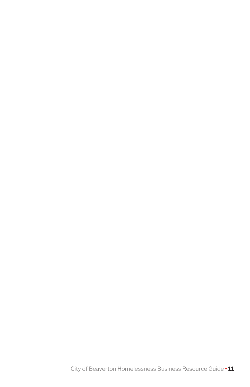City of Beaverton Homelessness Business Resource Guide • 11